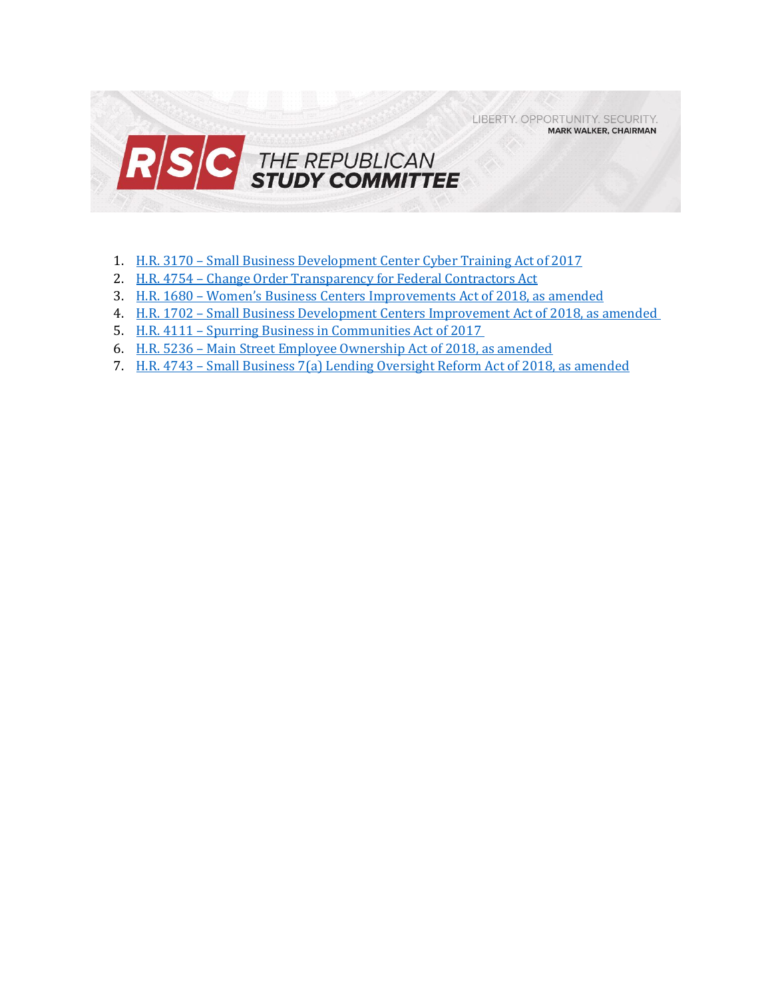

- 1. H.R. 3170 [Small Business Development Center Cyber Training Act of 2017](#page-1-0)
- 2. H.R. 4754 [Change Order Transparency for Federal Contractors Act](#page-3-0)
- 3. H.R. 1680 Women's Business [Centers Improvements Act of 2018, as amended](#page-5-0)
- 4. H.R. 1702 [Small Business Development Centers Improvement Act of 2018, as amended](#page-8-0)
- 5. H.R. 4111 [Spurring Business in Communities Act of 2017](#page-10-0)
- 6. H.R. 5236 [Main Street Employee Ownership Act of 2018, as amended](#page-12-0)
- 7. H.R. 4743 [Small Business 7\(a\) Lending Oversight Reform Act of 2018, as amended](#page-14-0)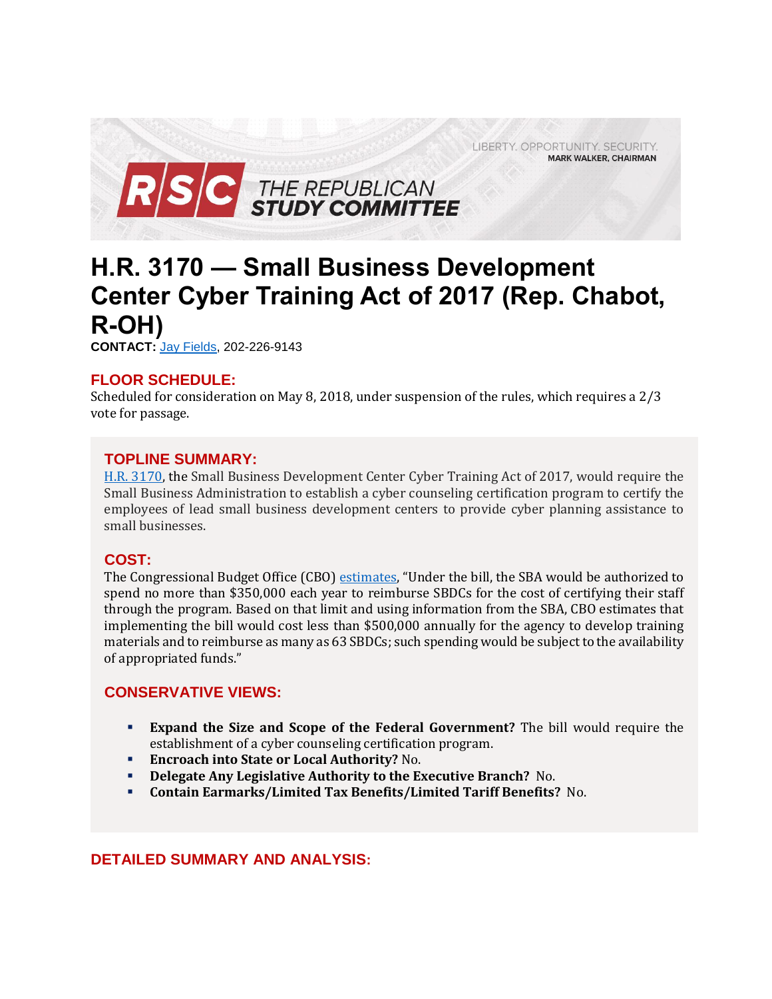LIBERTY. OPPORTUNITY. SECURITY. RSC THE REPUBLICAN

# <span id="page-1-0"></span>**H.R. 3170 — Small Business Development Center Cyber Training Act of 2017 (Rep. Chabot, R-OH)**

**MARK WALKER, CHAIRMAN** 

**CONTACT:** Jay [Fields,](mailto:jay.fields@mail.house.gov) 202-226-9143

# **FLOOR SCHEDULE:**

Scheduled for consideration on May 8, 2018, under suspension of the rules, which requires a 2/3 vote for passage.

# **TOPLINE SUMMARY:**

[H.R. 3170,](http://docs.house.gov/billsthisweek/20180507/HR3170.pdf) the Small Business Development Center Cyber Training Act of 2017, would require the Small Business Administration to establish a cyber counseling certification program to certify the employees of lead small business development centers to provide cyber planning assistance to small businesses.

# **COST:**

The Congressional Budget Office (CBO) [estimates](https://www.cbo.gov/system/files/115th-congress-2017-2018/costestimate/hr3170.pdf), "Under the bill, the SBA would be authorized to spend no more than \$350,000 each year to reimburse SBDCs for the cost of certifying their staff through the program. Based on that limit and using information from the SBA, CBO estimates that implementing the bill would cost less than \$500,000 annually for the agency to develop training materials and to reimburse as many as 63 SBDCs; such spending would be subject to the availability of appropriated funds."

# **CONSERVATIVE VIEWS:**

- **Expand the Size and Scope of the Federal Government?** The bill would require the establishment of a cyber counseling certification program.
- **Encroach into State or Local Authority?** No.
- **Delegate Any Legislative Authority to the Executive Branch?** No.
- **Contain Earmarks/Limited Tax Benefits/Limited Tariff Benefits?** No.

# **DETAILED SUMMARY AND ANALYSIS:**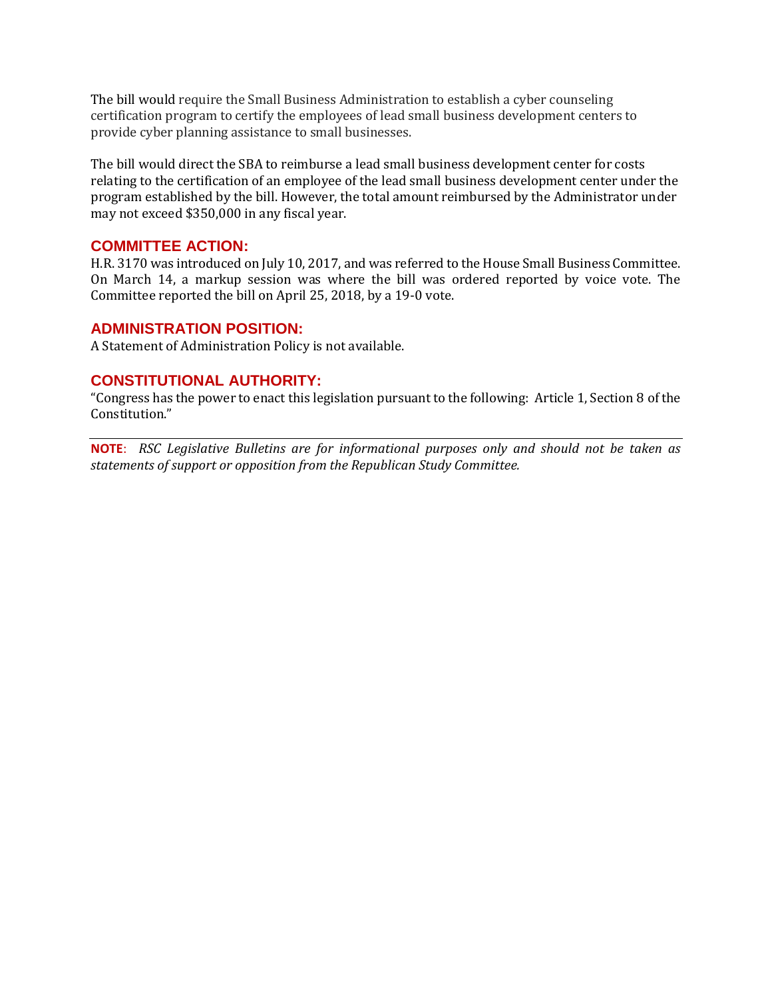The bill would require the Small Business Administration to establish a cyber counseling certification program to certify the employees of lead small business development centers to provide cyber planning assistance to small businesses.

The bill would direct the SBA to reimburse a lead small business development center for costs relating to the certification of an employee of the lead small business development center under the program established by the bill. However, the total amount reimbursed by the Administrator under may not exceed \$350,000 in any fiscal year.

#### **COMMITTEE ACTION:**

H.R. 3170 was introduced on July 10, 2017, and was referred to the House Small Business Committee. On March 14, a markup session was where the bill was ordered reported by voice vote. The Committee reported the bill on April 25, 2018, by a 19-0 vote.

#### **ADMINISTRATION POSITION:**

A Statement of Administration Policy is not available.

#### **CONSTITUTIONAL AUTHORITY:**

"Congress has the power to enact this legislation pursuant to the following: Article 1, Section 8 of the Constitution."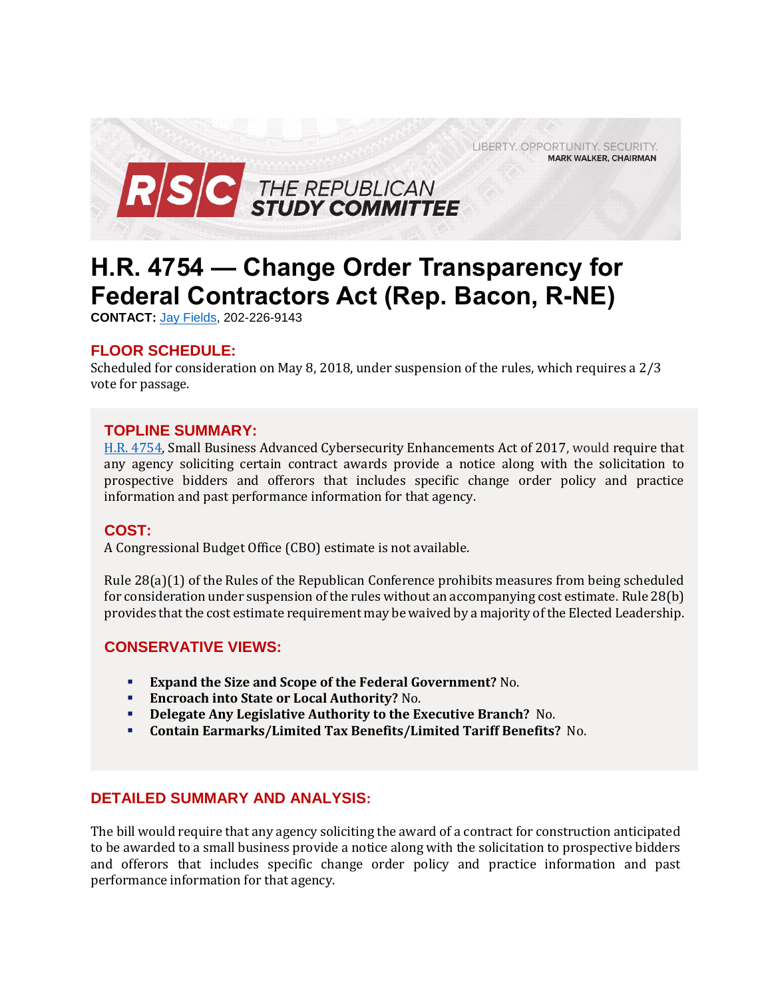LIBERTY. OPPORTUNITY. SECURITY. RSC THE REPUBLICAN

# <span id="page-3-0"></span>**H.R. 4754 — Change Order Transparency for Federal Contractors Act (Rep. Bacon, R-NE)**

**CONTACT:** Jay [Fields,](mailto:jay.fields@mail.house.gov) 202-226-9143

# **FLOOR SCHEDULE:**

Scheduled for consideration on May 8, 2018, under suspension of the rules, which requires a 2/3 vote for passage.

**MARK WALKER, CHAIRMAN** 

#### **TOPLINE SUMMARY:**

[H.R. 4754,](https://docs.house.gov/billsthisweek/20180507/HR4754.pdf) Small Business Advanced Cybersecurity Enhancements Act of 2017, would require that any agency soliciting certain contract awards provide a notice along with the solicitation to prospective bidders and offerors that includes specific change order policy and practice information and past performance information for that agency.

#### **COST:**

A Congressional Budget Office (CBO) estimate is not available.

Rule 28(a)(1) of the Rules of the Republican Conference prohibits measures from being scheduled for consideration under suspension of the rules without an accompanying cost estimate. Rule 28(b) provides that the cost estimate requirement may be waived by a majority of the Elected Leadership.

# **CONSERVATIVE VIEWS:**

- **Expand the Size and Scope of the Federal Government?** No.
- **Encroach into State or Local Authority?** No.
- **Delegate Any Legislative Authority to the Executive Branch?** No.
- **Contain Earmarks/Limited Tax Benefits/Limited Tariff Benefits?** No.

# **DETAILED SUMMARY AND ANALYSIS:**

The bill would require that any agency soliciting the award of a contract for construction anticipated to be awarded to a small business provide a notice along with the solicitation to prospective bidders and offerors that includes specific change order policy and practice information and past performance information for that agency.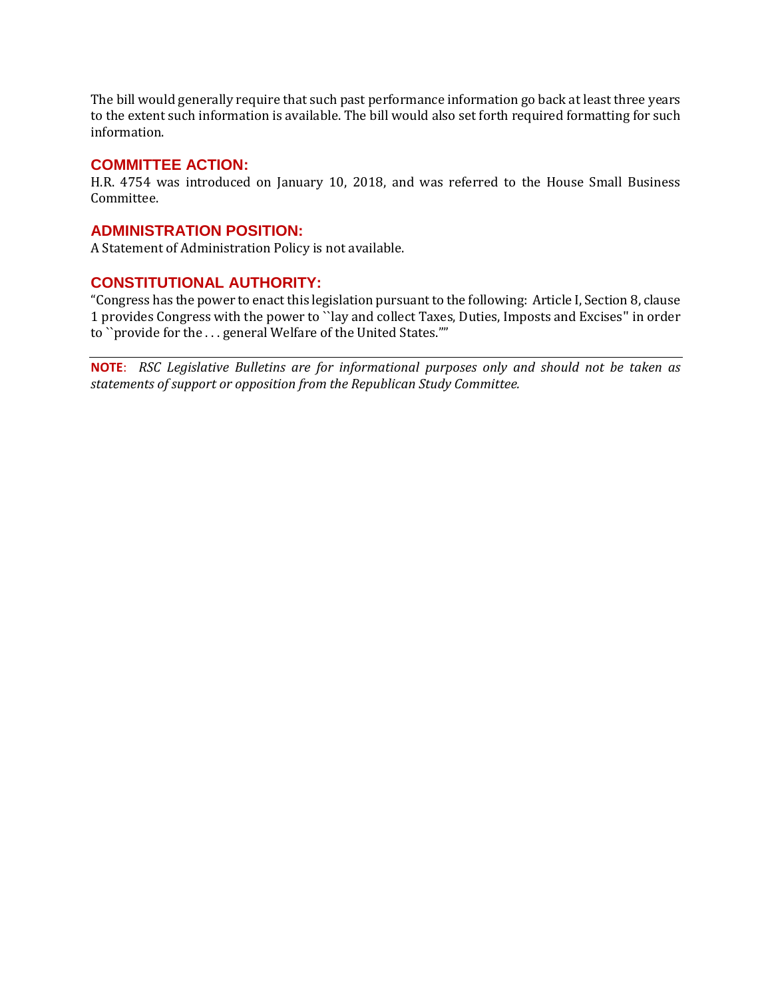The bill would generally require that such past performance information go back at least three years to the extent such information is available. The bill would also set forth required formatting for such information.

#### **COMMITTEE ACTION:**

H.R. 4754 was introduced on January 10, 2018, and was referred to the House Small Business Committee.

#### **ADMINISTRATION POSITION:**

A Statement of Administration Policy is not available.

# **CONSTITUTIONAL AUTHORITY:**

"Congress has the power to enact this legislation pursuant to the following: Article I, Section 8, clause 1 provides Congress with the power to ``lay and collect Taxes, Duties, Imposts and Excises'' in order to ``provide for the . . . general Welfare of the United States.""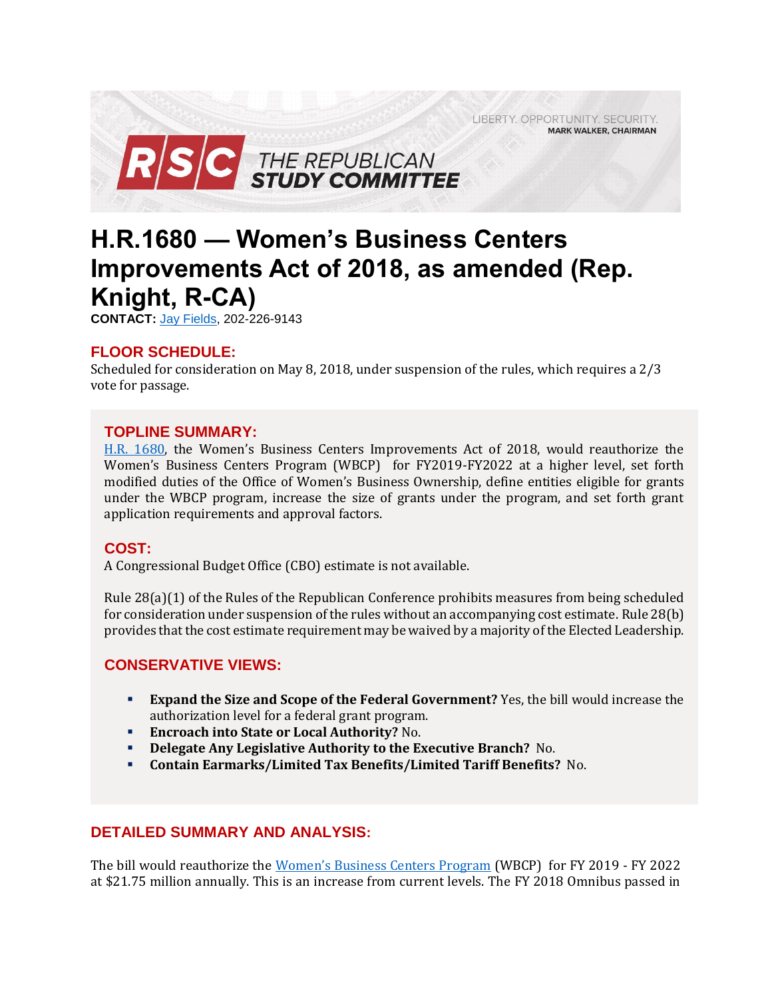

# <span id="page-5-0"></span>**H.R.1680 — Women's Business Centers Improvements Act of 2018, as amended (Rep. Knight, R-CA)**

**CONTACT:** Jay [Fields,](mailto:jay.fields@mail.house.gov) 202-226-9143

# **FLOOR SCHEDULE:**

Scheduled for consideration on May 8, 2018, under suspension of the rules, which requires a 2/3 vote for passage.

### **TOPLINE SUMMARY:**

[H.R. 1680](https://docs.house.gov/billsthisweek/20180507/HR1680.pdf), the Women's Business Centers Improvements Act of 2018, would reauthorize the Women's Business Centers Program (WBCP) for FY2019-FY2022 at a higher level, set forth modified duties of the Office of Women's Business Ownership, define entities eligible for grants under the WBCP program, increase the size of grants under the program, and set forth grant application requirements and approval factors.

# **COST:**

A Congressional Budget Office (CBO) estimate is not available.

Rule 28(a)(1) of the Rules of the Republican Conference prohibits measures from being scheduled for consideration under suspension of the rules without an accompanying cost estimate. Rule 28(b) provides that the cost estimate requirement may be waived by a majority of the Elected Leadership.

# **CONSERVATIVE VIEWS:**

- **Expand the Size and Scope of the Federal Government?** Yes, the bill would increase the authorization level for a federal grant program.
- **Encroach into State or Local Authority?** No.
- **Delegate Any Legislative Authority to the Executive Branch?** No.
- **Contain Earmarks/Limited Tax Benefits/Limited Tariff Benefits?** No.

# **DETAILED SUMMARY AND ANALYSIS:**

The bill would reauthorize the [Women's Business Centers Program](https://www.sba.gov/tools/local-assistance/wbc) (WBCP) for FY 2019 - FY 2022 at \$21.75 million annually. This is an increase from current levels. The FY 2018 Omnibus passed in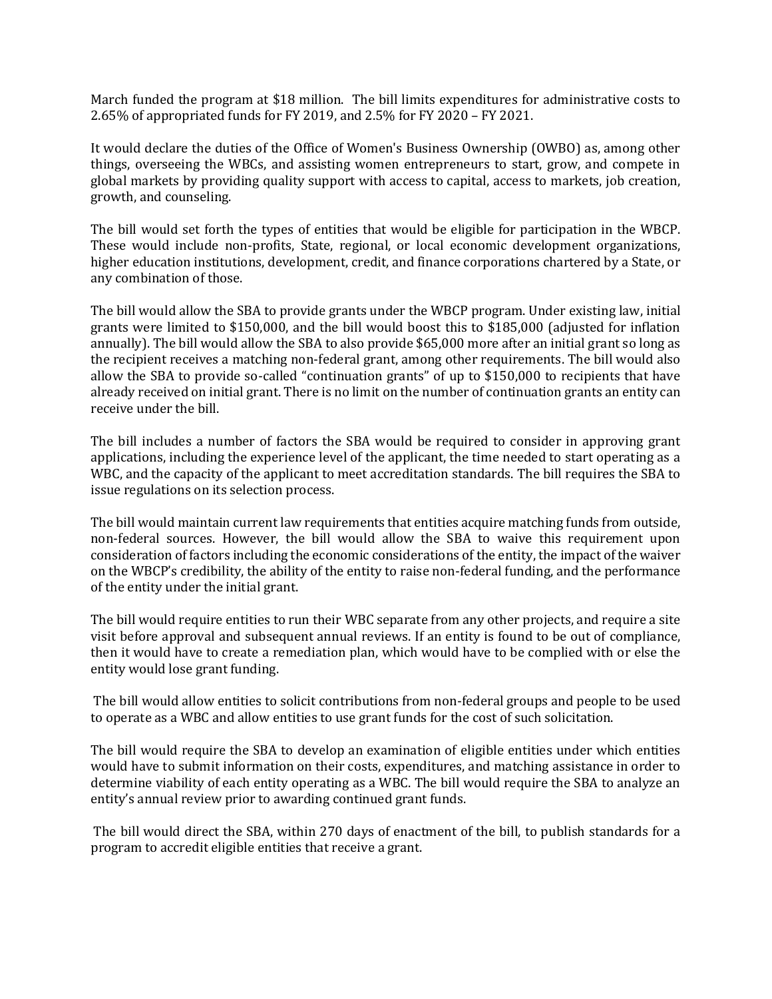March funded the program at \$18 million. The bill limits expenditures for administrative costs to 2.65% of appropriated funds for FY 2019, and 2.5% for FY 2020 – FY 2021.

It would declare the duties of the Office of Women's Business Ownership (OWBO) as, among other things, overseeing the WBCs, and assisting women entrepreneurs to start, grow, and compete in global markets by providing quality support with access to capital, access to markets, job creation, growth, and counseling.

The bill would set forth the types of entities that would be eligible for participation in the WBCP. These would include non-profits, State, regional, or local economic development organizations, higher education institutions, development, credit, and finance corporations chartered by a State, or any combination of those.

The bill would allow the SBA to provide grants under the WBCP program. Under existing law, initial grants were limited to \$150,000, and the bill would boost this to \$185,000 (adjusted for inflation annually). The bill would allow the SBA to also provide \$65,000 more after an initial grant so long as the recipient receives a matching non-federal grant, among other requirements. The bill would also allow the SBA to provide so-called "continuation grants" of up to \$150,000 to recipients that have already received on initial grant. There is no limit on the number of continuation grants an entity can receive under the bill.

The bill includes a number of factors the SBA would be required to consider in approving grant applications, including the experience level of the applicant, the time needed to start operating as a WBC, and the capacity of the applicant to meet accreditation standards. The bill requires the SBA to issue regulations on its selection process.

The bill would maintain current law requirements that entities acquire matching funds from outside, non-federal sources. However, the bill would allow the SBA to waive this requirement upon consideration of factors including the economic considerations of the entity, the impact of the waiver on the WBCP's credibility, the ability of the entity to raise non-federal funding, and the performance of the entity under the initial grant.

The bill would require entities to run their WBC separate from any other projects, and require a site visit before approval and subsequent annual reviews. If an entity is found to be out of compliance, then it would have to create a remediation plan, which would have to be complied with or else the entity would lose grant funding.

The bill would allow entities to solicit contributions from non-federal groups and people to be used to operate as a WBC and allow entities to use grant funds for the cost of such solicitation.

The bill would require the SBA to develop an examination of eligible entities under which entities would have to submit information on their costs, expenditures, and matching assistance in order to determine viability of each entity operating as a WBC. The bill would require the SBA to analyze an entity's annual review prior to awarding continued grant funds.

The bill would direct the SBA, within 270 days of enactment of the bill, to publish standards for a program to accredit eligible entities that receive a grant.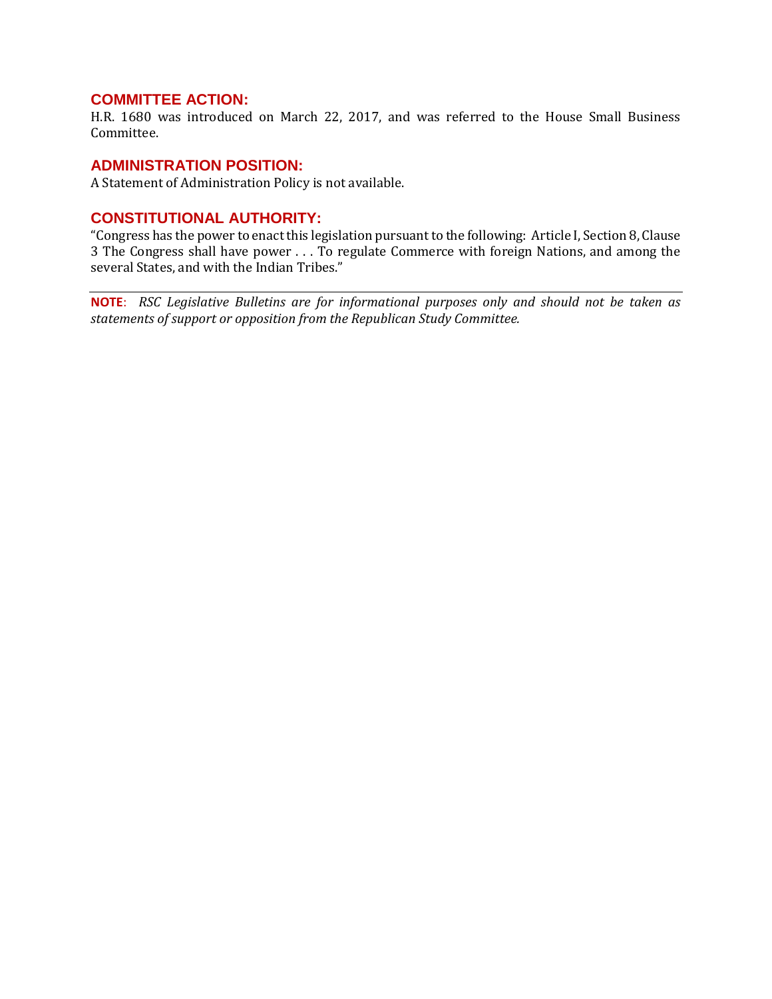### **COMMITTEE ACTION:**

H.R. 1680 was introduced on March 22, 2017, and was referred to the House Small Business Committee.

#### **ADMINISTRATION POSITION:**

A Statement of Administration Policy is not available.

#### **CONSTITUTIONAL AUTHORITY:**

"Congress has the power to enact this legislation pursuant to the following: Article I, Section 8, Clause 3 The Congress shall have power . . . To regulate Commerce with foreign Nations, and among the several States, and with the Indian Tribes."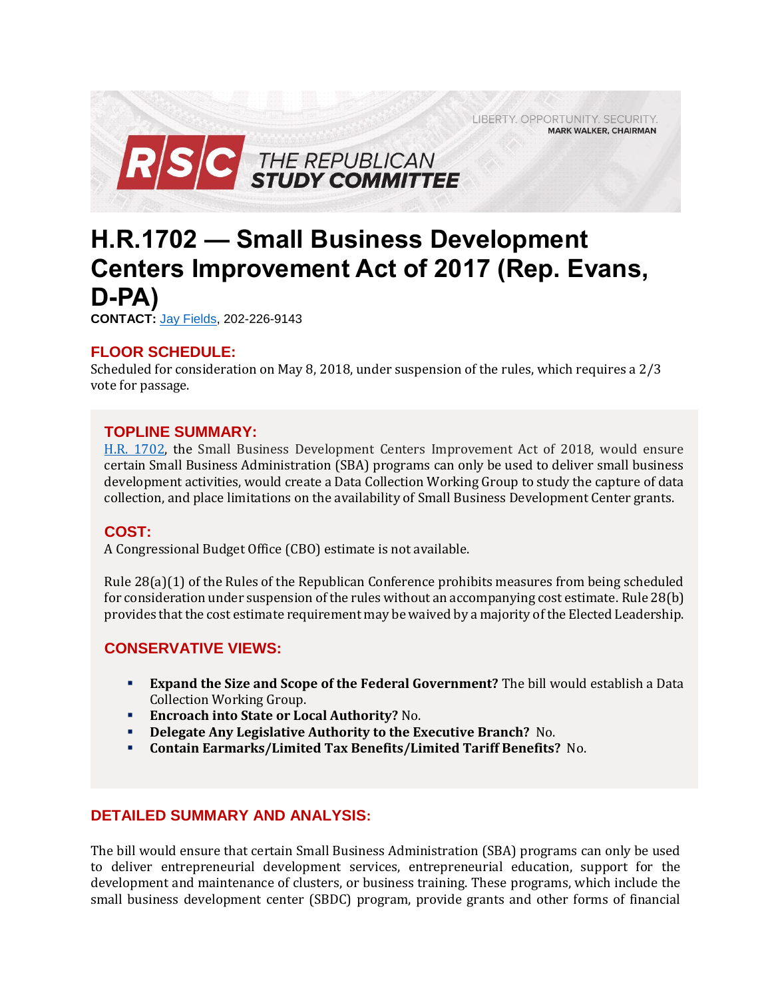

# <span id="page-8-0"></span>**H.R.1702 — Small Business Development Centers Improvement Act of 2017 (Rep. Evans, D-PA)**

**CONTACT:** Jay [Fields,](mailto:jay.fields@mail.house.gov) 202-226-9143

# **FLOOR SCHEDULE:**

Scheduled for consideration on May 8, 2018, under suspension of the rules, which requires a 2/3 vote for passage.

# **TOPLINE SUMMARY:**

[H.R. 1702,](https://docs.house.gov/billsthisweek/20180507/HR1702.pdf) the Small Business Development Centers Improvement Act of 2018, would ensure certain Small Business Administration (SBA) programs can only be used to deliver small business development activities, would create a Data Collection Working Group to study the capture of data collection, and place limitations on the availability of Small Business Development Center grants.

# **COST:**

A Congressional Budget Office (CBO) estimate is not available.

Rule 28(a)(1) of the Rules of the Republican Conference prohibits measures from being scheduled for consideration under suspension of the rules without an accompanying cost estimate. Rule 28(b) provides that the cost estimate requirement may be waived by a majority of the Elected Leadership.

# **CONSERVATIVE VIEWS:**

- **Expand the Size and Scope of the Federal Government?** The bill would establish a Data Collection Working Group.
- **Encroach into State or Local Authority?** No.
- **Delegate Any Legislative Authority to the Executive Branch?** No.
- **Contain Earmarks/Limited Tax Benefits/Limited Tariff Benefits?** No.

# **DETAILED SUMMARY AND ANALYSIS:**

The bill would ensure that certain Small Business Administration (SBA) programs can only be used to deliver entrepreneurial development services, entrepreneurial education, support for the development and maintenance of clusters, or business training. These programs, which include the small business development center (SBDC) program, provide grants and other forms of financial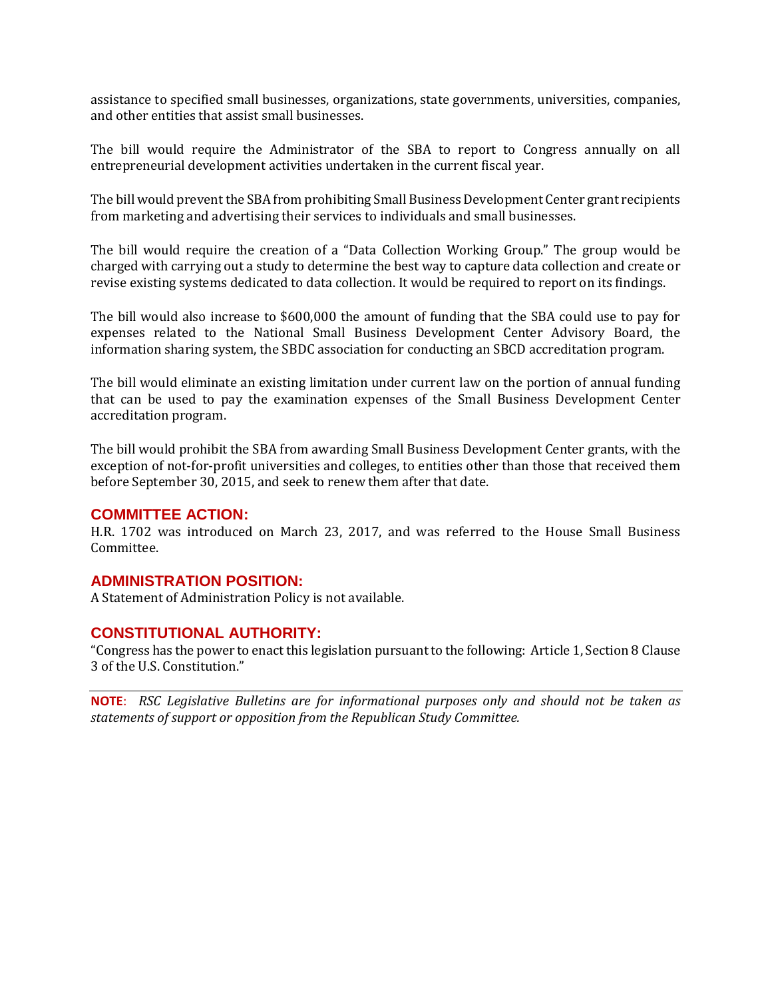assistance to specified small businesses, organizations, state governments, universities, companies, and other entities that assist small businesses.

The bill would require the Administrator of the SBA to report to Congress annually on all entrepreneurial development activities undertaken in the current fiscal year.

The bill would prevent the SBA from prohibiting Small Business Development Center grant recipients from marketing and advertising their services to individuals and small businesses.

The bill would require the creation of a "Data Collection Working Group." The group would be charged with carrying out a study to determine the best way to capture data collection and create or revise existing systems dedicated to data collection. It would be required to report on its findings.

The bill would also increase to \$600,000 the amount of funding that the SBA could use to pay for expenses related to the National Small Business Development Center Advisory Board, the information sharing system, the SBDC association for conducting an SBCD accreditation program.

The bill would eliminate an existing limitation under current law on the portion of annual funding that can be used to pay the examination expenses of the Small Business Development Center accreditation program.

The bill would prohibit the SBA from awarding Small Business Development Center grants, with the exception of not-for-profit universities and colleges, to entities other than those that received them before September 30, 2015, and seek to renew them after that date.

#### **COMMITTEE ACTION:**

H.R. 1702 was introduced on March 23, 2017, and was referred to the House Small Business Committee.

#### **ADMINISTRATION POSITION:**

A Statement of Administration Policy is not available.

#### **CONSTITUTIONAL AUTHORITY:**

"Congress has the power to enact this legislation pursuant to the following: Article 1, Section 8 Clause 3 of the U.S. Constitution."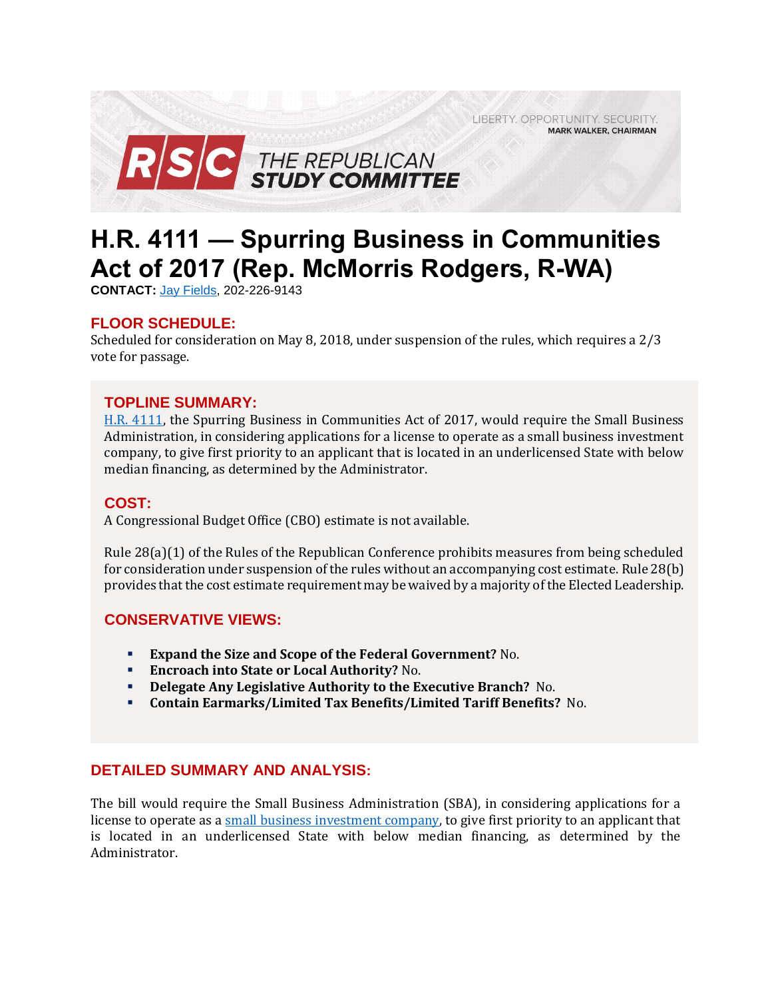

# <span id="page-10-0"></span>**H.R. 4111 — Spurring Business in Communities Act of 2017 (Rep. McMorris Rodgers, R-WA)**

**CONTACT:** Jay [Fields,](mailto:jay.fields@mail.house.gov) 202-226-9143

# **FLOOR SCHEDULE:**

Scheduled for consideration on May 8, 2018, under suspension of the rules, which requires a 2/3 vote for passage.

# **TOPLINE SUMMARY:**

[H.R. 4111,](https://docs.house.gov/billsthisweek/20180507/HR4111.pdf) the Spurring Business in Communities Act of 2017, would require the Small Business Administration, in considering applications for a license to operate as a small business investment company, to give first priority to an applicant that is located in an underlicensed State with below median financing, as determined by the Administrator.

# **COST:**

A Congressional Budget Office (CBO) estimate is not available.

Rule 28(a)(1) of the Rules of the Republican Conference prohibits measures from being scheduled for consideration under suspension of the rules without an accompanying cost estimate. Rule 28(b) provides that the cost estimate requirement may be waived by a majority of the Elected Leadership.

# **CONSERVATIVE VIEWS:**

- **Expand the Size and Scope of the Federal Government?** No.
- **Encroach into State or Local Authority?** No.
- **Delegate Any Legislative Authority to the Executive Branch?** No.
- **Contain Earmarks/Limited Tax Benefits/Limited Tariff Benefits?** No.

# **DETAILED SUMMARY AND ANALYSIS:**

The bill would require the Small Business Administration (SBA), in considering applications for a license to operate as a [small business investment company,](https://www.sba.gov/sbic) to give first priority to an applicant that is located in an underlicensed State with below median financing, as determined by the Administrator.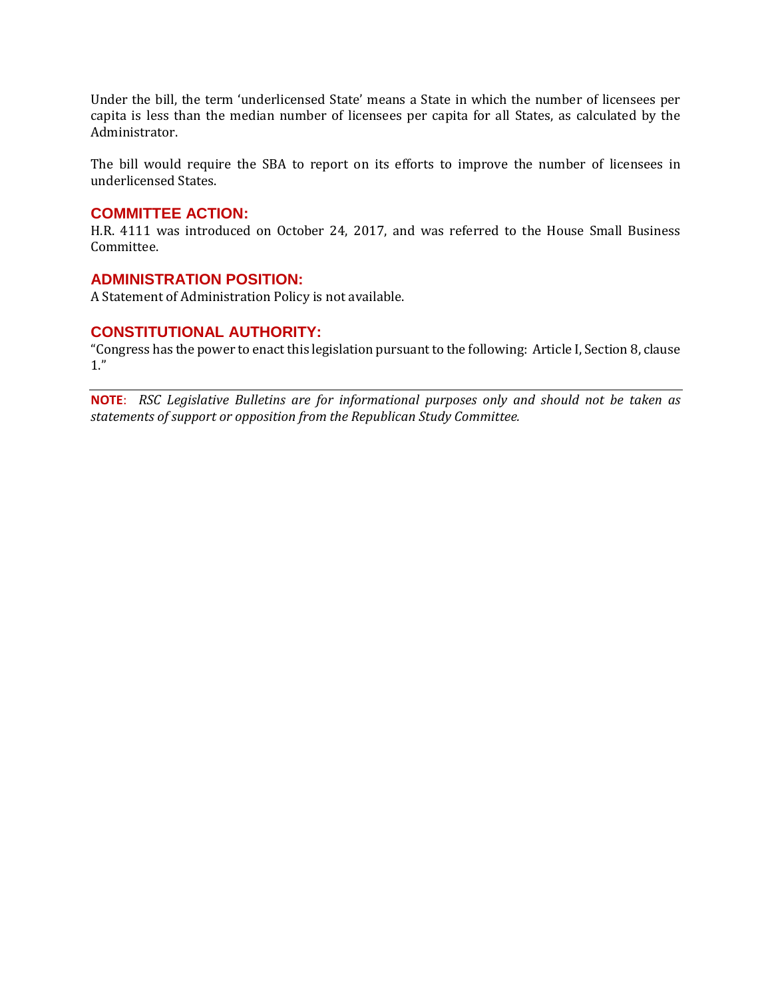Under the bill, the term 'underlicensed State' means a State in which the number of licensees per capita is less than the median number of licensees per capita for all States, as calculated by the Administrator.

The bill would require the SBA to report on its efforts to improve the number of licensees in underlicensed States.

#### **COMMITTEE ACTION:**

H.R. 4111 was introduced on October 24, 2017, and was referred to the House Small Business Committee.

#### **ADMINISTRATION POSITION:**

A Statement of Administration Policy is not available.

#### **CONSTITUTIONAL AUTHORITY:**

"Congress has the power to enact this legislation pursuant to the following: Article I, Section 8, clause 1."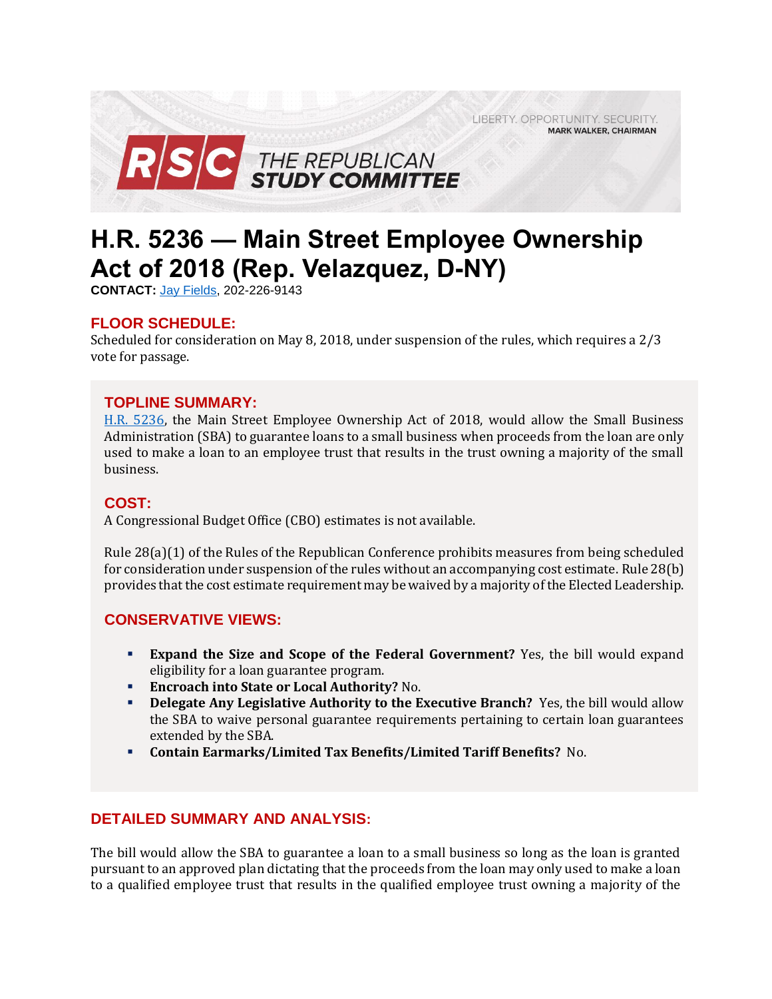

# <span id="page-12-0"></span>**H.R. 5236 — Main Street Employee Ownership Act of 2018 (Rep. Velazquez, D-NY)**

**CONTACT:** Jay [Fields,](mailto:jay.fields@mail.house.gov) 202-226-9143

# **FLOOR SCHEDULE:**

Scheduled for consideration on May 8, 2018, under suspension of the rules, which requires a 2/3 vote for passage.

# **TOPLINE SUMMARY:**

[H.R. 5236,](https://docs.house.gov/billsthisweek/20180507/HR5236.pdf) the Main Street Employee Ownership Act of 2018, would allow the Small Business Administration (SBA) to guarantee loans to a small business when proceeds from the loan are only used to make a loan to an employee trust that results in the trust owning a majority of the small business.

# **COST:**

A Congressional Budget Office (CBO) estimates is not available.

Rule 28(a)(1) of the Rules of the Republican Conference prohibits measures from being scheduled for consideration under suspension of the rules without an accompanying cost estimate. Rule 28(b) provides that the cost estimate requirement may be waived by a majority of the Elected Leadership.

# **CONSERVATIVE VIEWS:**

- **Expand the Size and Scope of the Federal Government?** Yes, the bill would expand eligibility for a loan guarantee program.
- **Encroach into State or Local Authority?** No.
- **Delegate Any Legislative Authority to the Executive Branch?** Yes, the bill would allow the SBA to waive personal guarantee requirements pertaining to certain loan guarantees extended by the SBA.
- **Contain Earmarks/Limited Tax Benefits/Limited Tariff Benefits?** No.

# **DETAILED SUMMARY AND ANALYSIS:**

The bill would allow the SBA to guarantee a loan to a small business so long as the loan is granted pursuant to an approved plan dictating that the proceeds from the loan may only used to make a loan to a qualified employee trust that results in the qualified employee trust owning a majority of the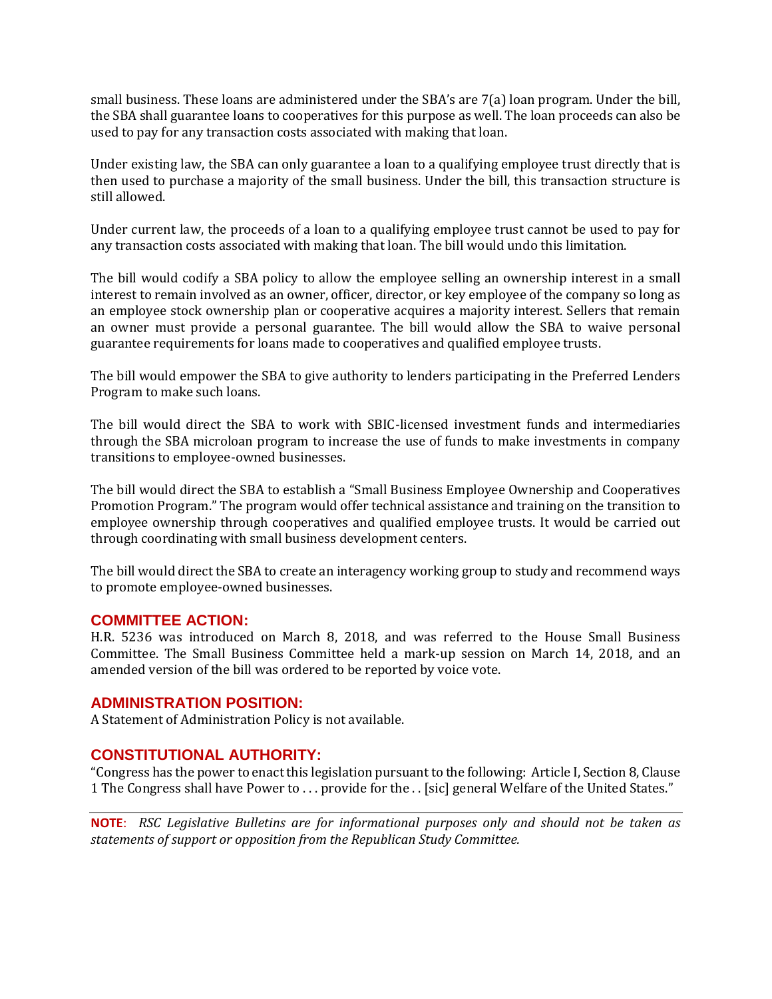small business. These loans are administered under the SBA's are 7(a) loan program. Under the bill, the SBA shall guarantee loans to cooperatives for this purpose as well. The loan proceeds can also be used to pay for any transaction costs associated with making that loan.

Under existing law, the SBA can only guarantee a loan to a qualifying employee trust directly that is then used to purchase a majority of the small business. Under the bill, this transaction structure is still allowed.

Under current law, the proceeds of a loan to a qualifying employee trust cannot be used to pay for any transaction costs associated with making that loan. The bill would undo this limitation.

The bill would codify a SBA policy to allow the employee selling an ownership interest in a small interest to remain involved as an owner, officer, director, or key employee of the company so long as an employee stock ownership plan or cooperative acquires a majority interest. Sellers that remain an owner must provide a personal guarantee. The bill would allow the SBA to waive personal guarantee requirements for loans made to cooperatives and qualified employee trusts.

The bill would empower the SBA to give authority to lenders participating in the Preferred Lenders Program to make such loans.

The bill would direct the SBA to work with SBIC-licensed investment funds and intermediaries through the SBA microloan program to increase the use of funds to make investments in company transitions to employee-owned businesses.

The bill would direct the SBA to establish a "Small Business Employee Ownership and Cooperatives Promotion Program." The program would offer technical assistance and training on the transition to employee ownership through cooperatives and qualified employee trusts. It would be carried out through coordinating with small business development centers.

The bill would direct the SBA to create an interagency working group to study and recommend ways to promote employee-owned businesses.

#### **COMMITTEE ACTION:**

H.R. 5236 was introduced on March 8, 2018, and was referred to the House Small Business Committee. The Small Business Committee held a mark-up session on March 14, 2018, and an amended version of the bill was ordered to be reported by voice vote.

#### **ADMINISTRATION POSITION:**

A Statement of Administration Policy is not available.

#### **CONSTITUTIONAL AUTHORITY:**

"Congress has the power to enact this legislation pursuant to the following: Article I, Section 8, Clause 1 The Congress shall have Power to . . . provide for the . . [sic] general Welfare of the United States."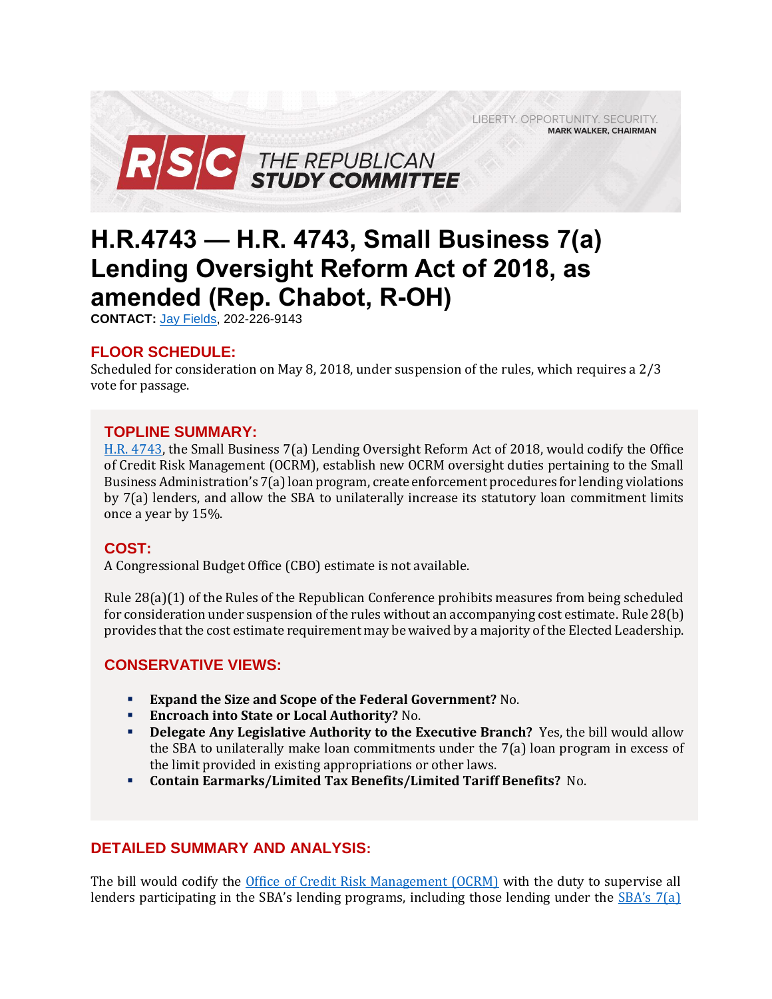

# <span id="page-14-0"></span>**H.R.4743 — H.R. 4743, Small Business 7(a) Lending Oversight Reform Act of 2018, as amended (Rep. Chabot, R-OH)**

**CONTACT:** Jay [Fields,](mailto:jay.fields@mail.house.gov) 202-226-9143

# **FLOOR SCHEDULE:**

Scheduled for consideration on May 8, 2018, under suspension of the rules, which requires a 2/3 vote for passage.

# **TOPLINE SUMMARY:**

[H.R. 4743,](https://docs.house.gov/billsthisweek/20180507/HR4743.pdf) the Small Business 7(a) Lending Oversight Reform Act of 2018, would codify the Office of Credit Risk Management (OCRM), establish new OCRM oversight duties pertaining to the Small Business Administration's 7(a) loan program, create enforcement procedures for lending violations by 7(a) lenders, and allow the SBA to unilaterally increase its statutory loan commitment limits once a year by 15%.

# **COST:**

A Congressional Budget Office (CBO) estimate is not available.

Rule 28(a)(1) of the Rules of the Republican Conference prohibits measures from being scheduled for consideration under suspension of the rules without an accompanying cost estimate. Rule 28(b) provides that the cost estimate requirement may be waived by a majority of the Elected Leadership.

# **CONSERVATIVE VIEWS:**

- **Expand the Size and Scope of the Federal Government?** No.
- **Encroach into State or Local Authority?** No.
- **Delegate Any Legislative Authority to the Executive Branch?** Yes, the bill would allow the SBA to unilaterally make loan commitments under the 7(a) loan program in excess of the limit provided in existing appropriations or other laws.
- **Contain Earmarks/Limited Tax Benefits/Limited Tariff Benefits?** No.

# **DETAILED SUMMARY AND ANALYSIS:**

The bill would codify the [Office of Credit Risk Management \(OCRM\)](https://www.sba.gov/offices/headquarters/ocrm) with the duty to supervise all lenders participating in the SBA's lending programs, including those lending under the [SBA's 7\(a\)](https://www.sba.gov/blogs/sbas-7a-loan-program-explained)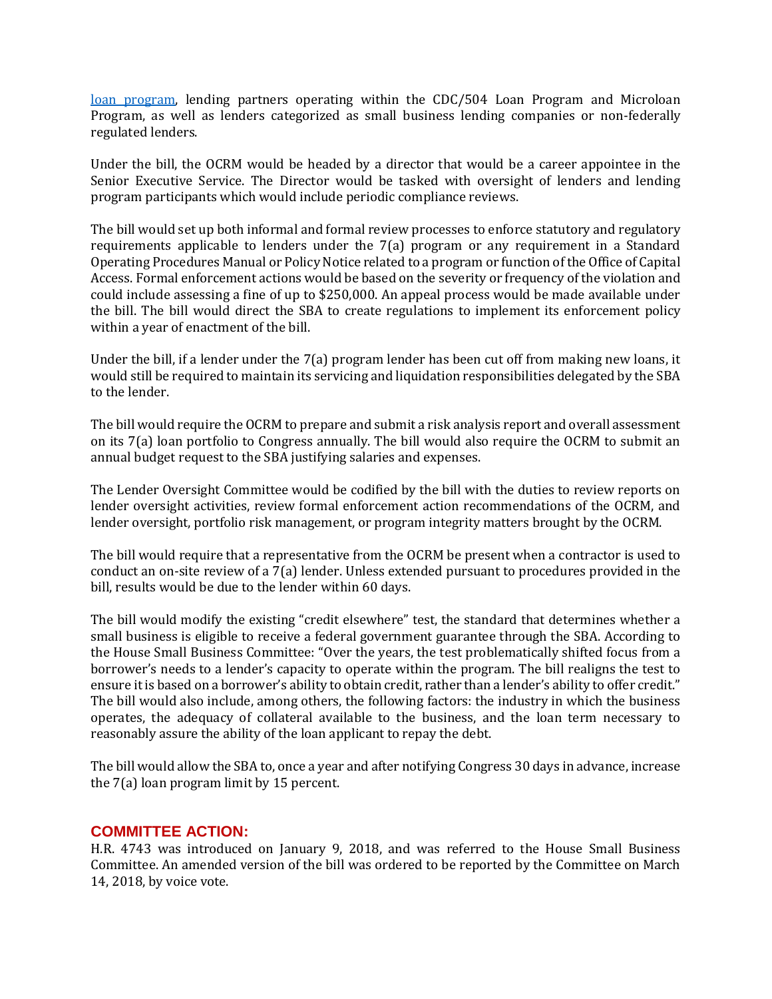[loan program,](https://www.sba.gov/blogs/sbas-7a-loan-program-explained) lending partners operating within the CDC/504 Loan Program and Microloan Program, as well as lenders categorized as small business lending companies or non-federally regulated lenders.

Under the bill, the OCRM would be headed by a director that would be a career appointee in the Senior Executive Service. The Director would be tasked with oversight of lenders and lending program participants which would include periodic compliance reviews.

The bill would set up both informal and formal review processes to enforce statutory and regulatory requirements applicable to lenders under the 7(a) program or any requirement in a Standard Operating Procedures Manual or Policy Notice related to a program or function of the Office of Capital Access. Formal enforcement actions would be based on the severity or frequency of the violation and could include assessing a fine of up to \$250,000. An appeal process would be made available under the bill. The bill would direct the SBA to create regulations to implement its enforcement policy within a year of enactment of the bill.

Under the bill, if a lender under the 7(a) program lender has been cut off from making new loans, it would still be required to maintain its servicing and liquidation responsibilities delegated by the SBA to the lender.

The bill would require the OCRM to prepare and submit a risk analysis report and overall assessment on its 7(a) loan portfolio to Congress annually. The bill would also require the OCRM to submit an annual budget request to the SBA justifying salaries and expenses.

The Lender Oversight Committee would be codified by the bill with the duties to review reports on lender oversight activities, review formal enforcement action recommendations of the OCRM, and lender oversight, portfolio risk management, or program integrity matters brought by the OCRM.

The bill would require that a representative from the OCRM be present when a contractor is used to conduct an on-site review of a 7(a) lender. Unless extended pursuant to procedures provided in the bill, results would be due to the lender within 60 days.

The bill would modify the existing "credit elsewhere" test, the standard that determines whether a small business is eligible to receive a federal government guarantee through the SBA. According to the House Small Business Committee: "Over the years, the test problematically shifted focus from a borrower's needs to a lender's capacity to operate within the program. The bill realigns the test to ensure it is based on a borrower's ability to obtain credit, rather than a lender's ability to offer credit." The bill would also include, among others, the following factors: the industry in which the business operates, the adequacy of collateral available to the business, and the loan term necessary to reasonably assure the ability of the loan applicant to repay the debt.

The bill would allow the SBA to, once a year and after notifying Congress 30 days in advance, increase the 7(a) loan program limit by 15 percent.

#### **COMMITTEE ACTION:**

H.R. 4743 was introduced on January 9, 2018, and was referred to the House Small Business Committee. An amended version of the bill was ordered to be reported by the Committee on March 14, 2018, by voice vote.